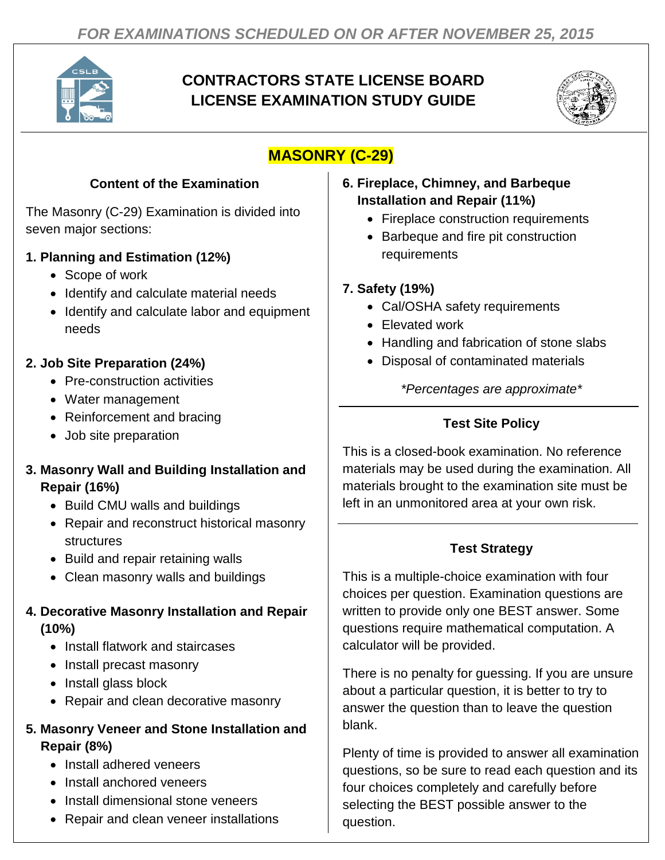

# **CONTRACTORS STATE LICENSE BOARD LICENSE EXAMINATION STUDY GUIDE**



# **MASONRY (C-29)**

#### **Content of the Examination**

The Masonry (C-29) Examination is divided into seven major sections:

#### **1. Planning and Estimation (12%)**

- Scope of work
- Identify and calculate material needs
- Identify and calculate labor and equipment needs

### **2. Job Site Preparation (24%)**

- Pre-construction activities
- Water management
- Reinforcement and bracing
- Job site preparation

#### **3. Masonry Wall and Building Installation and Repair (16%)**

- Build CMU walls and buildings
- Repair and reconstruct historical masonry structures
- Build and repair retaining walls
- Clean masonry walls and buildings

## **4. Decorative Masonry Installation and Repair (10%)**

- Install flatwork and staircases
- Install precast masonry
- Install glass block
- Repair and clean decorative masonry

#### **5. Masonry Veneer and Stone Installation and Repair (8%)**

- Install adhered veneers
- Install anchored veneers
- Install dimensional stone veneers
- Repair and clean veneer installations

#### **6. Fireplace, Chimney, and Barbeque Installation and Repair (11%)**

- Fireplace construction requirements
- Barbeque and fire pit construction requirements

#### **7. Safety (19%)**

- Cal/OSHA safety requirements
- Elevated work
- Handling and fabrication of stone slabs
- Disposal of contaminated materials

*\*Percentages are approximate\**

## **Test Site Policy**

This is a closed-book examination. No reference materials may be used during the examination. All materials brought to the examination site must be left in an unmonitored area at your own risk.

## **Test Strategy**

This is a multiple-choice examination with four choices per question. Examination questions are written to provide only one BEST answer. Some questions require mathematical computation. A calculator will be provided.

There is no penalty for guessing. If you are unsure about a particular question, it is better to try to answer the question than to leave the question blank.

Plenty of time is provided to answer all examination questions, so be sure to read each question and its four choices completely and carefully before selecting the BEST possible answer to the question.